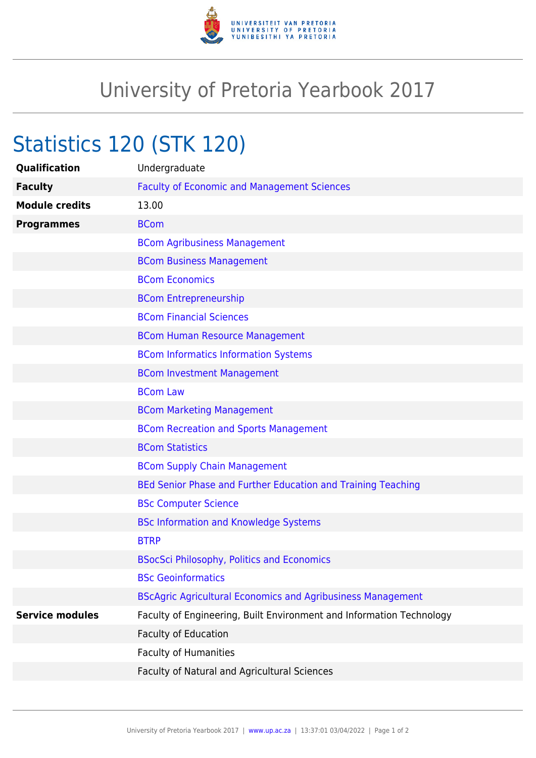

## University of Pretoria Yearbook 2017

## Statistics 120 (STK 120)

| Qualification          | Undergraduate                                                        |
|------------------------|----------------------------------------------------------------------|
| <b>Faculty</b>         | <b>Faculty of Economic and Management Sciences</b>                   |
| <b>Module credits</b>  | 13.00                                                                |
| <b>Programmes</b>      | <b>BCom</b>                                                          |
|                        | <b>BCom Agribusiness Management</b>                                  |
|                        | <b>BCom Business Management</b>                                      |
|                        | <b>BCom Economics</b>                                                |
|                        | <b>BCom Entrepreneurship</b>                                         |
|                        | <b>BCom Financial Sciences</b>                                       |
|                        | <b>BCom Human Resource Management</b>                                |
|                        | <b>BCom Informatics Information Systems</b>                          |
|                        | <b>BCom Investment Management</b>                                    |
|                        | <b>BCom Law</b>                                                      |
|                        | <b>BCom Marketing Management</b>                                     |
|                        | <b>BCom Recreation and Sports Management</b>                         |
|                        | <b>BCom Statistics</b>                                               |
|                        | <b>BCom Supply Chain Management</b>                                  |
|                        | BEd Senior Phase and Further Education and Training Teaching         |
|                        | <b>BSc Computer Science</b>                                          |
|                        | <b>BSc Information and Knowledge Systems</b>                         |
|                        | <b>BTRP</b>                                                          |
|                        | <b>BSocSci Philosophy, Politics and Economics</b>                    |
|                        | <b>BSc Geoinformatics</b>                                            |
|                        | <b>BScAgric Agricultural Economics and Agribusiness Management</b>   |
| <b>Service modules</b> | Faculty of Engineering, Built Environment and Information Technology |
|                        | <b>Faculty of Education</b>                                          |
|                        | Faculty of Humanities                                                |
|                        | Faculty of Natural and Agricultural Sciences                         |
|                        |                                                                      |